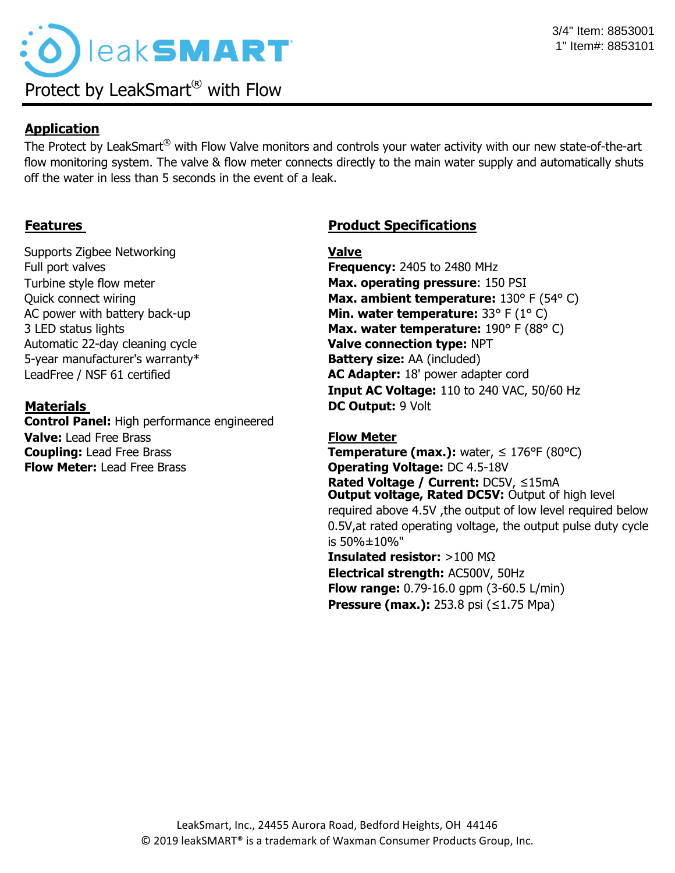

## **Application**

The Protect by LeakSmart® with Flow Valve monitors and controls your water activity with our new state-of-the-art flow monitoring system. The valve & flow meter connects directly to the main water supply and automatically shuts off the water in less than 5 seconds in the event of a leak.

Supports Zigbee Networking **Value** Full port valves **Frequency:** 2405 to 2480 MHz Automatic 22-day cleaning cycle **Valve connection type:** NPT 5-year manufacturer's warranty\* **Battery size:** AA (included)

**Control Panel:** High performance engineered **Valve:** Lead Free Brass **Flow Meter Flow Meter:** Lead Free Brass **Operating Voltage:** DC 4.5-18V

# **Features Constructions Product Specifications**

Turbine style flow meter **Max. operating pressure**: 150 PSI Quick connect wiring **Max. ambient temperature:** 130° F (54° C) AC power with battery back-up **Min. water temperature:** 33° F (1° C) 3 LED status lights **Max. water temperature:** 190° F (88° C) LeadFree / NSF 61 certified **AC Adapter:** 18' power adapter cord **Input AC Voltage:** 110 to 240 VAC, 50/60 Hz **Materials DC Output:** 9 Volt

**Coupling:** Lead Free Brass **Temperature (max.):** water, ≤ 176°F (80°C) **Rated Voltage / Current:** DC5V, ≤15mA **Insulated resistor:** >100 MΩ **Electrical strength:** AC500V, 50Hz **Flow range:** 0.79-16.0 gpm (3-60.5 L/min) **Pressure (max.):** 253.8 psi (≤1.75 Mpa) **Output voltage, Rated DC5V: Output of high level** required above 4.5V ,the output of low level required below 0.5V,at rated operating voltage, the output pulse duty cycle is 50%±10%"